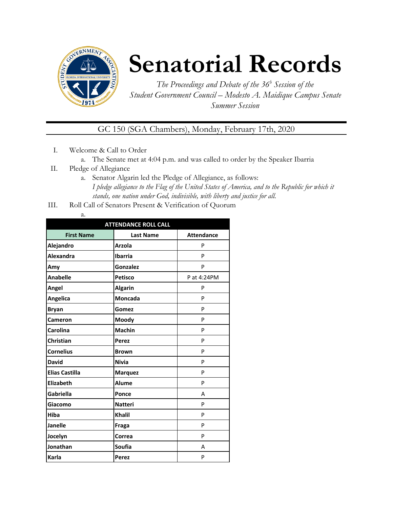

## **Senatorial Records**

*The Proceedings and Debate of the 36 <sup>h</sup> Session of the Student Government Council – Modesto A. Maidique Campus Senate Summer Session*

GC 150 (SGA Chambers), Monday, February 17th, 2020

- I. Welcome & Call to Order
	- a. The Senate met at 4:04 p.m. and was called to order by the Speaker Ibarria
- II. Pledge of Allegiance
	- a. Senator Algarin led the Pledge of Allegiance, as follows: *I pledge allegiance to the Flag of the United States of America, and to the Republic for which it stands, one nation under God, indivisible, with liberty and justice for all.*
- III. Roll Call of Senators Present & Verification of Quorum

| . .<br>÷<br>۰. |
|----------------|

| <b>ATTENDANCE ROLL CALL</b> |                  |                   |  |  |
|-----------------------------|------------------|-------------------|--|--|
| <b>First Name</b>           | <b>Last Name</b> | <b>Attendance</b> |  |  |
| Alejandro                   | <b>Arzola</b>    | P                 |  |  |
| Alexandra                   | <b>Ibarria</b>   | P                 |  |  |
| Amy                         | Gonzalez         | P                 |  |  |
| <b>Anabelle</b>             | <b>Petisco</b>   | P at 4:24PM       |  |  |
| Angel                       | <b>Algarin</b>   | P                 |  |  |
| Angelica                    | <b>Moncada</b>   | P                 |  |  |
| <b>Bryan</b>                | Gomez            | P                 |  |  |
| <b>Cameron</b>              | Moody            | P                 |  |  |
| Carolina                    | <b>Machin</b>    | P                 |  |  |
| Christian                   | <b>Perez</b>     | P                 |  |  |
| <b>Cornelius</b>            | <b>Brown</b>     | P                 |  |  |
| <b>David</b>                | <b>Nivia</b>     | P                 |  |  |
| <b>Elias Castilla</b>       | <b>Marquez</b>   | P                 |  |  |
| Elizabeth                   | <b>Alume</b>     | P                 |  |  |
| <b>Gabriella</b>            | Ponce            | A                 |  |  |
| Giacomo                     | <b>Natteri</b>   | P                 |  |  |
| Hiba                        | <b>Khalil</b>    | P                 |  |  |
| <b>Janelle</b>              | Fraga            | P                 |  |  |
| Jocelyn                     | Correa           | P                 |  |  |
| Jonathan                    | Soufia           | А                 |  |  |
| Karla                       | Perez            | P                 |  |  |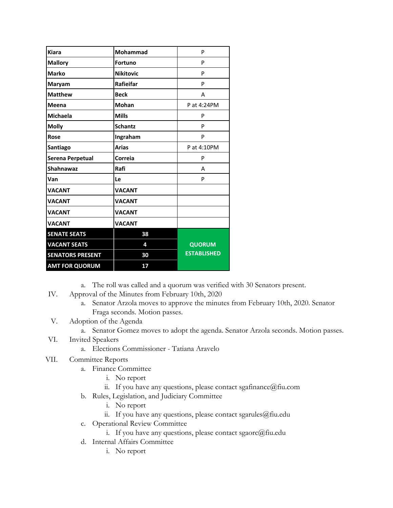| <b>Kiara</b>            | Mohammad         | P                  |
|-------------------------|------------------|--------------------|
| <b>Mallory</b>          | <b>Fortuno</b>   | P                  |
| <b>Marko</b>            | <b>Nikitovic</b> | P                  |
| Maryam                  | Rafieifar        | P                  |
| <b>Matthew</b>          | <b>Beck</b>      | A                  |
| Meena                   | <b>Mohan</b>     | P at 4:24PM        |
| <b>Michaela</b>         | <b>Mills</b>     | P                  |
| <b>Molly</b>            | <b>Schantz</b>   | P                  |
| Rose                    | Ingraham         | P                  |
| Santiago                | <b>Arias</b>     | P at 4:10PM        |
| Serena Perpetual        | Correia          | P                  |
| <b>Shahnawaz</b>        | Rafi             | A                  |
| Van                     | Le               | P                  |
| <b>VACANT</b>           | <b>VACANT</b>    |                    |
| <b>VACANT</b>           | <b>VACANT</b>    |                    |
| <b>VACANT</b>           | <b>VACANT</b>    |                    |
| <b>VACANT</b>           | <b>VACANT</b>    |                    |
| <b>SENATE SEATS</b>     | 38               |                    |
| <b>VACANT SEATS</b>     | 4                | <b>QUORUM</b>      |
| <b>SENATORS PRESENT</b> | 30               | <b>ESTABLISHED</b> |
| <b>AMT FOR QUORUM</b>   | 17               |                    |

- a. The roll was called and a quorum was verified with 30 Senators present.
- IV. Approval of the Minutes from February 10th, 2020
	- a. Senator Arzola moves to approve the minutes from February 10th, 2020. Senator Fraga seconds. Motion passes.
- V. Adoption of the Agenda
	- a. Senator Gomez moves to adopt the agenda. Senator Arzola seconds. Motion passes.
- VI. Invited Speakers
	- a. Elections Commissioner Tatiana Aravelo
- VII. Committee Reports
	- a. Finance Committee
		- i. No report
		- ii. If you have any questions, please contact sgafinance@fiu.com
	- b. Rules, Legislation, and Judiciary Committee
		- i. No report
		- ii. If you have any questions, please contact sgarules@fiu.edu
	- c. Operational Review Committee
		- i. If you have any questions, please contact sgaorc@fiu.edu
	- d. Internal Affairs Committee
		- i. No report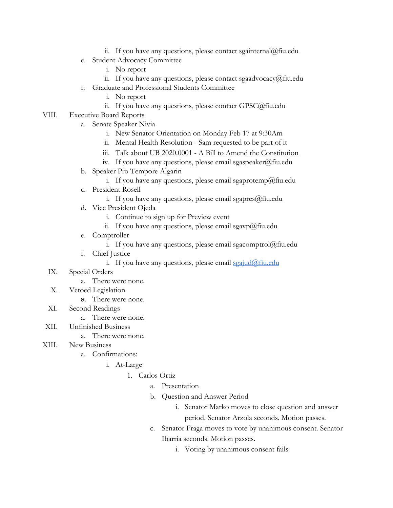- ii. If you have any questions, please contact sgainternal@fiu.edu
- e. Student Advocacy Committee
	- i. No report
	- ii. If you have any questions, please contact sgaadvocacy@fiu.edu
- f. Graduate and Professional Students Committee
	- i. No report
	- ii. If you have any questions, please contact GPSC@fiu.edu
- VIII. Executive Board Reports
	- a. Senate Speaker Nivia
		- i. New Senator Orientation on Monday Feb 17 at 9:30Am
		- ii. Mental Health Resolution Sam requested to be part of it
		- iii. Talk about UB 2020.0001 A Bill to Amend the Constitution
		- iv. If you have any questions, please email sgaspeaker@fiu.edu
	- b. Speaker Pro Tempore Algarin
		- i. If you have any questions, please email sgaprotemp@fiu.edu
	- c. President Rosell
		- i. If you have any questions, please email sgapres $@$ fiu.edu
	- d. Vice President Ojeda
		- i. Continue to sign up for Preview event
		- ii. If you have any questions, please email sgavp@fiu.edu
	- e. Comptroller
		- i. If you have any questions, please email sgacomptrol@fiu.edu
	- f. Chief Justice
		- i. If you have any questions, please email  $\frac{\sigma}{\sigma}$  in  $\frac{\sigma}{\sigma}$
	- IX. Special Orders
		- a. There were none.
	- X. Vetoed Legislation
		- a. There were none.
	- XI. Second Readings
		- a. There were none.
- XII. Unfinished Business

## a. There were none.

- XIII. New Business
	- a. Confirmations:
		- i. At-Large
			- 1. Carlos Ortiz
				- a. Presentation
				- b. Question and Answer Period
					- i. Senator Marko moves to close question and answer period. Senator Arzola seconds. Motion passes.
				- c. Senator Fraga moves to vote by unanimous consent. Senator Ibarria seconds. Motion passes.
					- i. Voting by unanimous consent fails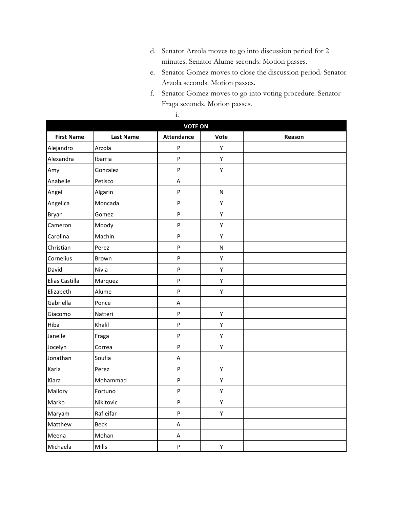- d. Senator Arzola moves to go into discussion period for 2 minutes. Senator Alume seconds. Motion passes.
- e. Senator Gomez moves to close the discussion period. Senator Arzola seconds. Motion passes.
- f. Senator Gomez moves to go into voting procedure. Senator Fraga seconds. Motion passes.

|                   | <b>VOTE ON</b>   |                   |              |        |  |  |
|-------------------|------------------|-------------------|--------------|--------|--|--|
| <b>First Name</b> | <b>Last Name</b> | <b>Attendance</b> | Vote         | Reason |  |  |
| Alejandro         | Arzola           | P                 | Υ            |        |  |  |
| Alexandra         | Ibarria          | $\mathsf{P}$      | Y            |        |  |  |
| Amy               | Gonzalez         | $\sf P$           | Y            |        |  |  |
| Anabelle          | Petisco          | Α                 |              |        |  |  |
| Angel             | Algarin          | $\mathsf{P}$      | ${\sf N}$    |        |  |  |
| Angelica          | Moncada          | $\mathsf{P}$      | Υ            |        |  |  |
| Bryan             | Gomez            | $\mathsf{P}$      | Υ            |        |  |  |
| Cameron           | Moody            | $\mathsf{P}$      | Υ            |        |  |  |
| Carolina          | Machin           | $\mathsf{P}$      | Y            |        |  |  |
| Christian         | Perez            | $\mathsf{P}$      | $\mathsf{N}$ |        |  |  |
| Cornelius         | Brown            | $\mathsf{P}$      | Y            |        |  |  |
| David             | Nivia            | $\mathsf{P}$      | Y            |        |  |  |
| Elias Castilla    | Marquez          | $\sf P$           | Y            |        |  |  |
| Elizabeth         | Alume            | ${\sf P}$         | Y            |        |  |  |
| Gabriella         | Ponce            | A                 |              |        |  |  |
| Giacomo           | Natteri          | $\sf P$           | Y            |        |  |  |
| Hiba              | Khalil           | $\mathsf{P}$      | Y            |        |  |  |
| Janelle           | Fraga            | $\sf P$           | Y            |        |  |  |
| Jocelyn           | Correa           | $\mathsf{P}$      | Υ            |        |  |  |
| Jonathan          | Soufia           | Α                 |              |        |  |  |
| Karla             | Perez            | $\sf P$           | Υ            |        |  |  |
| Kiara             | Mohammad         | $\mathsf{P}$      | Y            |        |  |  |
| Mallory           | Fortuno          | ${\sf P}$         | Y            |        |  |  |
| Marko             | Nikitovic        | $\mathsf{P}$      | Y            |        |  |  |
| Maryam            | Rafieifar        | $\mathsf{P}$      | Υ            |        |  |  |
| Matthew           | <b>Beck</b>      | A                 |              |        |  |  |
| Meena             | Mohan            | Α                 |              |        |  |  |
| Michaela          | Mills            | $\mathsf{P}$      | Υ            |        |  |  |

i.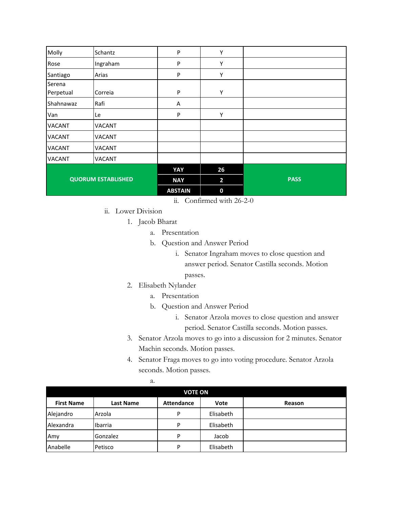| Molly                     | Schantz       | P              | Υ                       |             |
|---------------------------|---------------|----------------|-------------------------|-------------|
|                           |               |                |                         |             |
| Rose                      | Ingraham      | P              | Υ                       |             |
| Santiago                  | Arias         | P              | Υ                       |             |
| Serena                    |               |                |                         |             |
| Perpetual                 | Correia       | P              | Υ                       |             |
| Shahnawaz                 | Rafi          | Α              |                         |             |
| Van                       | Le            | P              | Υ                       |             |
| <b>VACANT</b>             | <b>VACANT</b> |                |                         |             |
| <b>VACANT</b>             | VACANT        |                |                         |             |
| <b>VACANT</b>             | <b>VACANT</b> |                |                         |             |
| <b>VACANT</b>             | <b>VACANT</b> |                |                         |             |
| <b>QUORUM ESTABLISHED</b> |               | YAY            | 26                      |             |
|                           |               | <b>NAY</b>     | $\overline{\mathbf{2}}$ | <b>PASS</b> |
|                           |               | <b>ABSTAIN</b> | 0                       |             |

- ii. Confirmed with 26-2-0
- ii. Lower Division
	- 1. Jacob Bharat
		- a. Presentation
		- b. Question and Answer Period
			- i. Senator Ingraham moves to close question and answer period. Senator Castilla seconds. Motion passes.
	- 2. Elisabeth Nylander

a.

- a. Presentation
- b. Question and Answer Period
	- i. Senator Arzola moves to close question and answer period. Senator Castilla seconds. Motion passes.
- 3. Senator Arzola moves to go into a discussion for 2 minutes. Senator Machin seconds. Motion passes.
- 4. Senator Fraga moves to go into voting procedure. Senator Arzola seconds. Motion passes.

| <b>VOTE ON</b>    |                  |                   |           |        |
|-------------------|------------------|-------------------|-----------|--------|
| <b>First Name</b> | <b>Last Name</b> | <b>Attendance</b> | Vote      | Reason |
| Alejandro         | Arzola           | D                 | Elisabeth |        |
| Alexandra         | Ibarria          | P                 | Elisabeth |        |
| Amy               | <b>Gonzalez</b>  | D                 | Jacob     |        |
| Anabelle          | Petisco          | P                 | Elisabeth |        |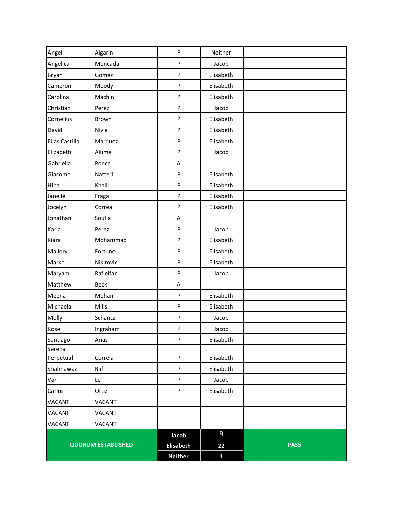|                     |                           | <b>Neither</b>   | $\mathbf{1}$   |             |
|---------------------|---------------------------|------------------|----------------|-------------|
|                     | <b>QUORUM ESTABLISHED</b> | <b>Elisabeth</b> | 22             | <b>PASS</b> |
|                     |                           | Jacob            | $\overline{9}$ |             |
| <b>VACANT</b>       | VACANT                    |                  |                |             |
| <b>VACANT</b>       | VACANT                    |                  |                |             |
| <b>VACANT</b>       | <b>VACANT</b>             |                  |                |             |
| Carlos              | Ortiz                     | $\sf P$          | Elisabeth      |             |
| Van                 | Le                        | ${\sf P}$        | Jacob          |             |
| Shahnawaz           | Rafi                      | ${\sf P}$        | Elisabeth      |             |
| Serena<br>Perpetual | Correia                   | ${\sf P}$        | Elisabeth      |             |
| Santiago            | Arias                     | ${\sf P}$        | Elisabeth      |             |
| Rose                | Ingraham                  | ${\sf P}$        | Jacob          |             |
| Molly               | Schantz                   | ${\sf P}$        | Jacob          |             |
| Michaela            | Mills                     | $\mathsf{P}$     | Elisabeth      |             |
| Meena               | Mohan                     | P                | Elisabeth      |             |
| Matthew             | <b>Beck</b>               | A                |                |             |
| Maryam              | Rafieifar                 | P                | Jacob          |             |
| Marko               | Nikitovic                 | ${\sf P}$        | Elisabeth      |             |
| Mallory             | Fortuno                   | ${\sf P}$        | Elisabeth      |             |
| Kiara               | Mohammad                  | ${\sf P}$        | Elisabeth      |             |
| Karla               | Perez                     | $\sf P$          | Jacob          |             |
| Jonathan            | Soufia                    | A                |                |             |
| Jocelyn             | Correa                    | ${\sf P}$        | Elisabeth      |             |
| Janelle             | Fraga                     | $\mathsf{P}$     | Elisabeth      |             |
| Hiba                | Khalil                    | P                | Elisabeth      |             |
| Giacomo             | Natteri                   | ${\sf P}$        | Elisabeth      |             |
| Gabriella           | Ponce                     | A                |                |             |
| Elizabeth           | Alume                     | ${\sf P}$        | Jacob          |             |
| Elias Castilla      | Marquez                   | $\mathsf{P}$     | Elisabeth      |             |
| David               | Nivia                     | ${\sf P}$        | Elisabeth      |             |
| Cornelius           | Brown                     | P                | Elisabeth      |             |
| Christian           | Perez                     | ${\sf P}$        | Jacob          |             |
| Carolina            | Machin                    | P                | Elisabeth      |             |
| Cameron             | Moody                     | ${\sf P}$        | Elisabeth      |             |
| Bryan               | Gomez                     | P                | Elisabeth      |             |
| Angelica            | Moncada                   | ${\sf P}$        | Jacob          |             |
| Angel               | Algarin                   | $\mathsf{P}$     | Neither        |             |
|                     |                           |                  |                |             |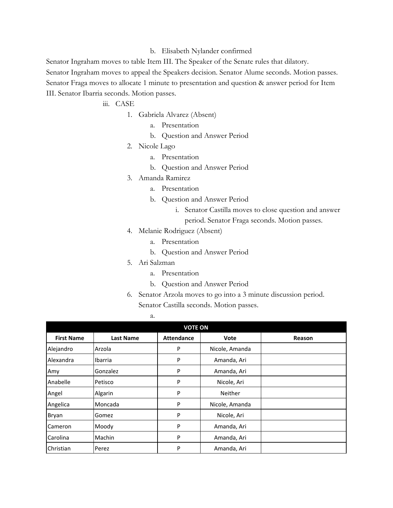## b. Elisabeth Nylander confirmed

Senator Ingraham moves to table Item III. The Speaker of the Senate rules that dilatory. Senator Ingraham moves to appeal the Speakers decision. Senator Alume seconds. Motion passes. Senator Fraga moves to allocate 1 minute to presentation and question & answer period for Item

III. Senator Ibarria seconds. Motion passes.

iii. CASE

- 1. Gabriela Alvarez (Absent)
	- a. Presentation
	- b. Question and Answer Period
- 2. Nicole Lago
	- a. Presentation
	- b. Question and Answer Period
- 3. Amanda Ramirez
	- a. Presentation
	- b. Question and Answer Period
		- i. Senator Castilla moves to close question and answer
		- period. Senator Fraga seconds. Motion passes.
- 4. Melanie Rodriguez (Absent)
	- a. Presentation
	- b. Question and Answer Period
- 5. Ari Salzman
	- a. Presentation
	- b. Question and Answer Period
- 6. Senator Arzola moves to go into a 3 minute discussion period. Senator Castilla seconds. Motion passes.

a.

| <b>VOTE ON</b>    |                  |                   |                |        |  |
|-------------------|------------------|-------------------|----------------|--------|--|
| <b>First Name</b> | <b>Last Name</b> | <b>Attendance</b> | Vote           | Reason |  |
| Alejandro         | Arzola           | P                 | Nicole, Amanda |        |  |
| Alexandra         | Ibarria          | P                 | Amanda, Ari    |        |  |
| Amy               | Gonzalez         | P                 | Amanda, Ari    |        |  |
| Anabelle          | Petisco          | P                 | Nicole, Ari    |        |  |
| Angel             | Algarin          | P                 | <b>Neither</b> |        |  |
| Angelica          | Moncada          | P                 | Nicole, Amanda |        |  |
| Bryan             | Gomez            | P                 | Nicole, Ari    |        |  |
| Cameron           | Moody            | P                 | Amanda, Ari    |        |  |
| Carolina          | Machin           | P                 | Amanda, Ari    |        |  |
| Christian         | Perez            | P                 | Amanda, Ari    |        |  |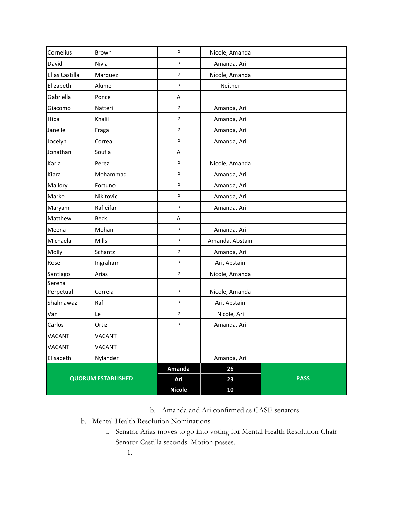|                     |                           | Ari<br><b>Nicole</b> | 23<br>10        |             |
|---------------------|---------------------------|----------------------|-----------------|-------------|
|                     | <b>QUORUM ESTABLISHED</b> | Amanda               | 26              | <b>PASS</b> |
| Elisabeth           | Nylander                  |                      | Amanda, Ari     |             |
| VACANT              | <b>VACANT</b>             |                      |                 |             |
| <b>VACANT</b>       | <b>VACANT</b>             |                      |                 |             |
| Carlos              | Ortiz                     | P                    | Amanda, Ari     |             |
| Van                 | Le                        | P                    | Nicole, Ari     |             |
| Shahnawaz           | Rafi                      | ${\sf P}$            | Ari, Abstain    |             |
| Serena<br>Perpetual | Correia                   | ${\sf P}$            | Nicole, Amanda  |             |
| Santiago            | Arias                     | P                    | Nicole, Amanda  |             |
| Rose                | Ingraham                  | P                    | Ari, Abstain    |             |
| Molly               | Schantz                   | ${\sf P}$            | Amanda, Ari     |             |
| Michaela            | Mills                     | P                    | Amanda, Abstain |             |
| Meena               | Mohan                     | ${\sf P}$            | Amanda, Ari     |             |
| Matthew             | <b>Beck</b>               | Α                    |                 |             |
| Maryam              | Rafieifar                 | ${\sf P}$            | Amanda, Ari     |             |
| Marko               | Nikitovic                 | P                    | Amanda, Ari     |             |
| Mallory             | Fortuno                   | P                    | Amanda, Ari     |             |
| Kiara               | Mohammad                  | P                    | Amanda, Ari     |             |
| Karla               | Perez                     | ${\sf P}$            | Nicole, Amanda  |             |
| Jonathan            | Soufia                    | Α                    |                 |             |
| Jocelyn             | Correa                    | ${\sf P}$            | Amanda, Ari     |             |
| Janelle             | Fraga                     | ${\sf P}$            | Amanda, Ari     |             |
| Hiba                | Khalil                    | P                    | Amanda, Ari     |             |
| Giacomo             | Natteri                   | ${\sf P}$            | Amanda, Ari     |             |
| Gabriella           | Ponce                     | Α                    |                 |             |
| Elizabeth           | Alume                     | ${\sf P}$            | Neither         |             |
| Elias Castilla      | Marquez                   | P                    | Nicole, Amanda  |             |
| David               | Nivia                     | P                    | Amanda, Ari     |             |
| Cornelius           | Brown                     | ${\sf P}$            | Nicole, Amanda  |             |

b. Amanda and Ari confirmed as CASE senators

- b. Mental Health Resolution Nominations
	- i. Senator Arias moves to go into voting for Mental Health Resolution Chair Senator Castilla seconds. Motion passes.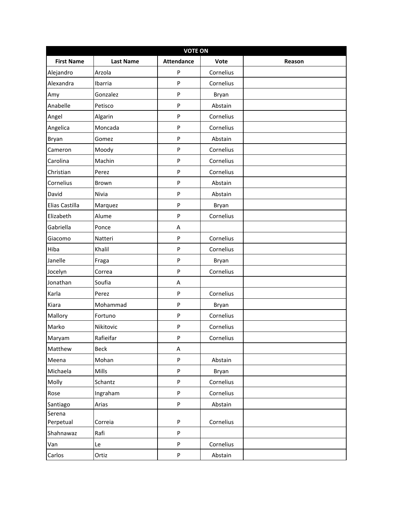|                   | <b>VOTE ON</b>   |                   |           |        |  |  |
|-------------------|------------------|-------------------|-----------|--------|--|--|
| <b>First Name</b> | <b>Last Name</b> | <b>Attendance</b> | Vote      | Reason |  |  |
| Alejandro         | Arzola           | P                 | Cornelius |        |  |  |
| Alexandra         | Ibarria          | P                 | Cornelius |        |  |  |
| Amy               | Gonzalez         | P                 | Bryan     |        |  |  |
| Anabelle          | Petisco          | P                 | Abstain   |        |  |  |
| Angel             | Algarin          | P                 | Cornelius |        |  |  |
| Angelica          | Moncada          | P                 | Cornelius |        |  |  |
| Bryan             | Gomez            | P                 | Abstain   |        |  |  |
| Cameron           | Moody            | P                 | Cornelius |        |  |  |
| Carolina          | Machin           | P                 | Cornelius |        |  |  |
| Christian         | Perez            | P                 | Cornelius |        |  |  |
| Cornelius         | Brown            | P                 | Abstain   |        |  |  |
| David             | Nivia            | P                 | Abstain   |        |  |  |
| Elias Castilla    | Marquez          | P                 | Bryan     |        |  |  |
| Elizabeth         | Alume            | P                 | Cornelius |        |  |  |
| Gabriella         | Ponce            | Α                 |           |        |  |  |
| Giacomo           | Natteri          | P                 | Cornelius |        |  |  |
| Hiba              | Khalil           | P                 | Cornelius |        |  |  |
| Janelle           | Fraga            | P                 | Bryan     |        |  |  |
| Jocelyn           | Correa           | P                 | Cornelius |        |  |  |
| Jonathan          | Soufia           | A                 |           |        |  |  |
| Karla             | Perez            | P                 | Cornelius |        |  |  |
| Kiara             | Mohammad         | P                 | Bryan     |        |  |  |
| Mallory           | Fortuno          | P                 | Cornelius |        |  |  |
| Marko             | Nikitovic        | P                 | Cornelius |        |  |  |
| Maryam            | Rafieifar        | P                 | Cornelius |        |  |  |
| Matthew           | Beck             | A                 |           |        |  |  |
| Meena             | Mohan            | P                 | Abstain   |        |  |  |
| Michaela          | Mills            | P                 | Bryan     |        |  |  |
| Molly             | Schantz          | P                 | Cornelius |        |  |  |
| Rose              | Ingraham         | P                 | Cornelius |        |  |  |
| Santiago          | Arias            | P                 | Abstain   |        |  |  |
| Serena            |                  |                   |           |        |  |  |
| Perpetual         | Correia          | P                 | Cornelius |        |  |  |
| Shahnawaz         | Rafi             | P                 |           |        |  |  |
| Van               | Le               | P                 | Cornelius |        |  |  |
| Carlos            | Ortiz            | P                 | Abstain   |        |  |  |